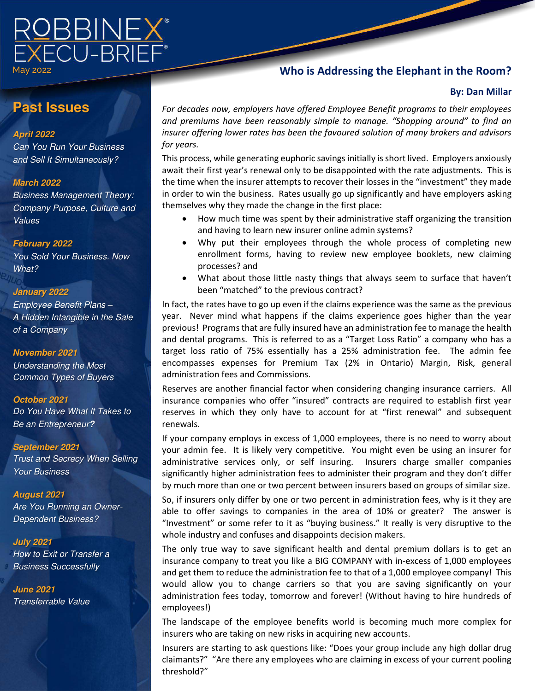

May 2022

# **Who is Addressing the Elephant in the Room?**

### **By: Dan Millar**

# **Past Issues**

#### **April 2022**

*Can You Run Your Business and Sell It Simultaneously?* 

#### **March 2022**

*Business Management Theory: Company Purpose, Culture and Values* 

#### **February 2022**

*You Sold Your Business. Now What?*

#### **January 2022**

*Employee Benefit Plans – A Hidden Intangible in the Sale of a Company* 

#### **November 2021**

*Understanding the Most Common Types of Buyers*

#### **October 2021**

*Do You Have What It Takes to Be an Entrepreneur***?** 

#### **September 2021**

*Trust and Secrecy When Selling Your Business*

#### **August 2021**

*Are You Running an Owner-Dependent Business?*

#### **July 2021**  *How to Exit or Transfer a Business Successfully*

**June 2021**  *Transferrable Value* 

*For decades now, employers have offered Employee Benefit programs to their employees and premiums have been reasonably simple to manage. "Shopping around" to find an insurer offering lower rates has been the favoured solution of many brokers and advisors for years.* 

This process, while generating euphoric savings initially is short lived. Employers anxiously await their first year's renewal only to be disappointed with the rate adjustments. This is the time when the insurer attempts to recover their losses in the "investment" they made in order to win the business. Rates usually go up significantly and have employers asking themselves why they made the change in the first place:

- How much time was spent by their administrative staff organizing the transition and having to learn new insurer online admin systems?
- Why put their employees through the whole process of completing new enrollment forms, having to review new employee booklets, new claiming processes? and
- What about those little nasty things that always seem to surface that haven't been "matched" to the previous contract?

In fact, the rates have to go up even if the claims experience was the same as the previous year. Never mind what happens if the claims experience goes higher than the year previous! Programs that are fully insured have an administration fee to manage the health and dental programs. This is referred to as a "Target Loss Ratio" a company who has a target loss ratio of 75% essentially has a 25% administration fee. The admin fee encompasses expenses for Premium Tax (2% in Ontario) Margin, Risk, general administration fees and Commissions.

Reserves are another financial factor when considering changing insurance carriers. All insurance companies who offer "insured" contracts are required to establish first year reserves in which they only have to account for at "first renewal" and subsequent renewals.

If your company employs in excess of 1,000 employees, there is no need to worry about your admin fee. It is likely very competitive. You might even be using an insurer for administrative services only, or self insuring. Insurers charge smaller companies significantly higher administration fees to administer their program and they don't differ by much more than one or two percent between insurers based on groups of similar size.

So, if insurers only differ by one or two percent in administration fees, why is it they are able to offer savings to companies in the area of 10% or greater? The answer is "Investment" or some refer to it as "buying business." It really is very disruptive to the whole industry and confuses and disappoints decision makers.

The only true way to save significant health and dental premium dollars is to get an insurance company to treat you like a BIG COMPANY with in-excess of 1,000 employees and get them to reduce the administration fee to that of a 1,000 employee company! This would allow you to change carriers so that you are saving significantly on your administration fees today, tomorrow and forever! (Without having to hire hundreds of employees!)

The landscape of the employee benefits world is becoming much more complex for insurers who are taking on new risks in acquiring new accounts.

Insurers are starting to ask questions like: "Does your group include any high dollar drug claimants?" "Are there any employees who are claiming in excess of your current pooling threshold?"